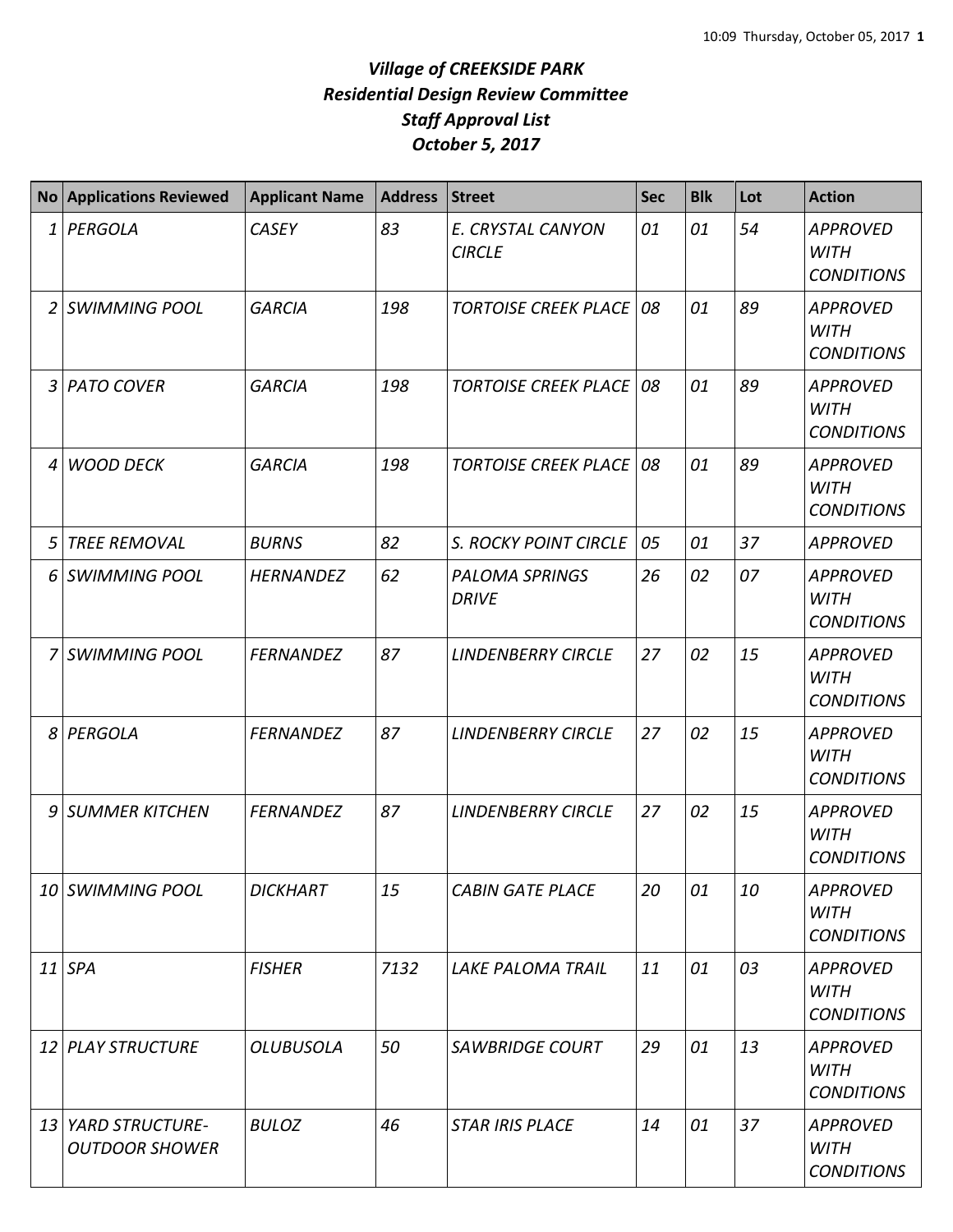## *Village of CREEKSIDE PARK Residential Design Review Committee Staff Approval List October 5, 2017*

|   | No Applications Reviewed                    | <b>Applicant Name</b> | <b>Address</b> | <b>Street</b>                         | <b>Sec</b> | <b>Blk</b> | Lot | <b>Action</b>                                       |
|---|---------------------------------------------|-----------------------|----------------|---------------------------------------|------------|------------|-----|-----------------------------------------------------|
| 1 | PERGOLA                                     | <b>CASEY</b>          | 83             | E. CRYSTAL CANYON<br><b>CIRCLE</b>    | 01         | 01         | 54  | <b>APPROVED</b><br><b>WITH</b><br><b>CONDITIONS</b> |
|   | 2 SWIMMING POOL                             | <b>GARCIA</b>         | 198            | <b>TORTOISE CREEK PLACE</b>           | 08         | 01         | 89  | <b>APPROVED</b><br><b>WITH</b><br><b>CONDITIONS</b> |
| 3 | <b>PATO COVER</b>                           | <b>GARCIA</b>         | 198            | <b>TORTOISE CREEK PLACE</b>           | 08         | 01         | 89  | <b>APPROVED</b><br><b>WITH</b><br><b>CONDITIONS</b> |
| 4 | <b>WOOD DECK</b>                            | <b>GARCIA</b>         | 198            | <b>TORTOISE CREEK PLACE</b>           | 08         | 01         | 89  | <b>APPROVED</b><br><b>WITH</b><br><b>CONDITIONS</b> |
| 5 | <b>TREE REMOVAL</b>                         | <b>BURNS</b>          | 82             | S. ROCKY POINT CIRCLE                 | 05         | 01         | 37  | <b>APPROVED</b>                                     |
| 6 | <b>SWIMMING POOL</b>                        | <b>HERNANDEZ</b>      | 62             | <b>PALOMA SPRINGS</b><br><b>DRIVE</b> | 26         | 02         | 07  | <b>APPROVED</b><br><b>WITH</b><br><b>CONDITIONS</b> |
| 7 | <b>SWIMMING POOL</b>                        | <b>FERNANDEZ</b>      | 87             | <b>LINDENBERRY CIRCLE</b>             | 27         | 02         | 15  | <b>APPROVED</b><br><b>WITH</b><br><b>CONDITIONS</b> |
| 8 | PERGOLA                                     | <b>FERNANDEZ</b>      | 87             | <b>LINDENBERRY CIRCLE</b>             | 27         | 02         | 15  | <b>APPROVED</b><br><b>WITH</b><br><b>CONDITIONS</b> |
|   | 9 SUMMER KITCHEN                            | <b>FERNANDEZ</b>      | 87             | <b>LINDENBERRY CIRCLE</b>             | 27         | 02         | 15  | <b>APPROVED</b><br><b>WITH</b><br><b>CONDITIONS</b> |
|   | 10 SWIMMING POOL                            | <b>DICKHART</b>       | 15             | <b>CABIN GATE PLACE</b>               | 20         | 01         | 10  | <b>APPROVED</b><br><b>WITH</b><br><b>CONDITIONS</b> |
|   | $11$ SPA                                    | <b>FISHER</b>         | 7132           | <b>LAKE PALOMA TRAIL</b>              | 11         | 01         | 03  | <b>APPROVED</b><br><b>WITH</b><br><b>CONDITIONS</b> |
|   | 12 PLAY STRUCTURE                           | <b>OLUBUSOLA</b>      | 50             | <b>SAWBRIDGE COURT</b>                | 29         | 01         | 13  | <b>APPROVED</b><br><b>WITH</b><br><b>CONDITIONS</b> |
|   | 13 YARD STRUCTURE-<br><b>OUTDOOR SHOWER</b> | <b>BULOZ</b>          | 46             | <b>STAR IRIS PLACE</b>                | 14         | 01         | 37  | <b>APPROVED</b><br><b>WITH</b><br><b>CONDITIONS</b> |